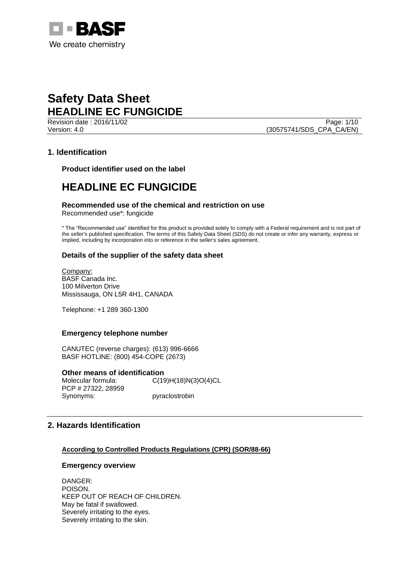

Revision date : 2016/11/02 Page: 1/10 Version: 4.0 (30575741/SDS\_CPA\_CA/EN)

## **1. Identification**

**Product identifier used on the label**

# **HEADLINE EC FUNGICIDE**

### **Recommended use of the chemical and restriction on use**

Recommended use\*: fungicide

\* The "Recommended use" identified for this product is provided solely to comply with a Federal requirement and is not part of the seller's published specification. The terms of this Safety Data Sheet (SDS) do not create or infer any warranty, express or implied, including by incorporation into or reference in the seller's sales agreement.

### **Details of the supplier of the safety data sheet**

Company: BASF Canada Inc. 100 Milverton Drive Mississauga, ON L5R 4H1, CANADA

Telephone: +1 289 360-1300

#### **Emergency telephone number**

CANUTEC (reverse charges): (613) 996-6666 BASF HOTLINE: (800) 454-COPE (2673)

**Other means of identification**

Molecular formula: C(19)H(18)N(3)O(4)CL PCP # 27322, 28959 Synonyms: pyraclostrobin

## **2. Hazards Identification**

**According to Controlled Products Regulations (CPR) (SOR/88-66)**

#### **Emergency overview**

DANGER: POISON. KEEP OUT OF REACH OF CHILDREN. May be fatal if swallowed. Severely irritating to the eyes. Severely irritating to the skin.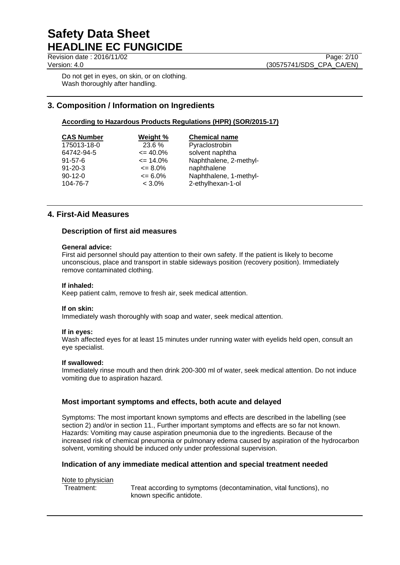Revision date : 2016/11/02 Page: 2/10

Do not get in eyes, on skin, or on clothing. Wash thoroughly after handling.

## **3. Composition / Information on Ingredients**

### **According to Hazardous Products Regulations (HPR) (SOR/2015-17)**

| <b>CAS Number</b> | Weight %     | <b>Chemical name</b>   |
|-------------------|--------------|------------------------|
| 175013-18-0       | 23.6 %       | Pyraclostrobin         |
| 64742-94-5        | $\leq$ 40.0% | solvent naphtha        |
| $91 - 57 - 6$     | $\leq$ 14.0% | Naphthalene, 2-methyl- |
| $91 - 20 - 3$     | $\leq 8.0\%$ | naphthalene            |
| $90-12-0$         | $\leq 6.0\%$ | Naphthalene, 1-methyl- |
| 104-76-7          | $< 3.0\%$    | 2-ethylhexan-1-ol      |

## **4. First-Aid Measures**

#### **Description of first aid measures**

#### **General advice:**

First aid personnel should pay attention to their own safety. If the patient is likely to become unconscious, place and transport in stable sideways position (recovery position). Immediately remove contaminated clothing.

#### **If inhaled:**

Keep patient calm, remove to fresh air, seek medical attention.

#### **If on skin:**

Immediately wash thoroughly with soap and water, seek medical attention.

#### **If in eyes:**

Wash affected eyes for at least 15 minutes under running water with eyelids held open, consult an eye specialist.

#### **If swallowed:**

Immediately rinse mouth and then drink 200-300 ml of water, seek medical attention. Do not induce vomiting due to aspiration hazard.

#### **Most important symptoms and effects, both acute and delayed**

Symptoms: The most important known symptoms and effects are described in the labelling (see section 2) and/or in section 11., Further important symptoms and effects are so far not known. Hazards: Vomiting may cause aspiration pneumonia due to the ingredients. Because of the increased risk of chemical pneumonia or pulmonary edema caused by aspiration of the hydrocarbon solvent, vomiting should be induced only under professional supervision.

#### **Indication of any immediate medical attention and special treatment needed**

#### Note to physician

Treatment: Treat according to symptoms (decontamination, vital functions), no known specific antidote.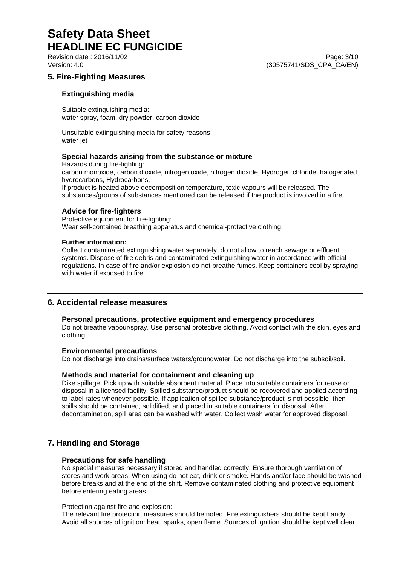Revision date : 2016/11/02 Page: 3/10 Version: 4.0 (30575741/SDS\_CPA\_CA/EN)

## **5. Fire-Fighting Measures**

### **Extinguishing media**

Suitable extinguishing media: water spray, foam, dry powder, carbon dioxide

Unsuitable extinguishing media for safety reasons: water jet

#### **Special hazards arising from the substance or mixture**

Hazards during fire-fighting:

carbon monoxide, carbon dioxide, nitrogen oxide, nitrogen dioxide, Hydrogen chloride, halogenated hydrocarbons, Hydrocarbons,

If product is heated above decomposition temperature, toxic vapours will be released. The substances/groups of substances mentioned can be released if the product is involved in a fire.

#### **Advice for fire-fighters**

Protective equipment for fire-fighting: Wear self-contained breathing apparatus and chemical-protective clothing.

#### **Further information:**

Collect contaminated extinguishing water separately, do not allow to reach sewage or effluent systems. Dispose of fire debris and contaminated extinguishing water in accordance with official regulations. In case of fire and/or explosion do not breathe fumes. Keep containers cool by spraying with water if exposed to fire.

### **6. Accidental release measures**

#### **Personal precautions, protective equipment and emergency procedures**

Do not breathe vapour/spray. Use personal protective clothing. Avoid contact with the skin, eyes and clothing.

#### **Environmental precautions**

Do not discharge into drains/surface waters/groundwater. Do not discharge into the subsoil/soil.

#### **Methods and material for containment and cleaning up**

Dike spillage. Pick up with suitable absorbent material. Place into suitable containers for reuse or disposal in a licensed facility. Spilled substance/product should be recovered and applied according to label rates whenever possible. If application of spilled substance/product is not possible, then spills should be contained, solidified, and placed in suitable containers for disposal. After decontamination, spill area can be washed with water. Collect wash water for approved disposal.

### **7. Handling and Storage**

#### **Precautions for safe handling**

No special measures necessary if stored and handled correctly. Ensure thorough ventilation of stores and work areas. When using do not eat, drink or smoke. Hands and/or face should be washed before breaks and at the end of the shift. Remove contaminated clothing and protective equipment before entering eating areas.

#### Protection against fire and explosion:

The relevant fire protection measures should be noted. Fire extinguishers should be kept handy. Avoid all sources of ignition: heat, sparks, open flame. Sources of ignition should be kept well clear.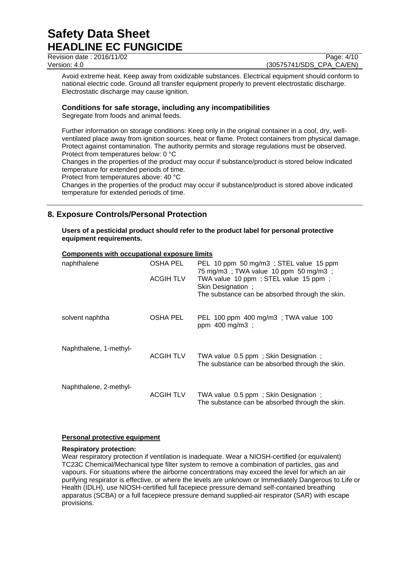Revision date : 2016/11/02 Page: 4/10

Version: 4.0 (30575741/SDS\_CPA\_CA/EN)

Avoid extreme heat. Keep away from oxidizable substances. Electrical equipment should conform to national electric code. Ground all transfer equipment properly to prevent electrostatic discharge. Electrostatic discharge may cause ignition.

## **Conditions for safe storage, including any incompatibilities**

Segregate from foods and animal feeds.

Further information on storage conditions: Keep only in the original container in a cool, dry, wellventilated place away from ignition sources, heat or flame. Protect containers from physical damage. Protect against contamination. The authority permits and storage regulations must be observed. Protect from temperatures below: 0 °C

Changes in the properties of the product may occur if substance/product is stored below indicated temperature for extended periods of time.

Protect from temperatures above: 40 °C

Changes in the properties of the product may occur if substance/product is stored above indicated temperature for extended periods of time.

## **8. Exposure Controls/Personal Protection**

**Users of a pesticidal product should refer to the product label for personal protective equipment requirements.**

## **Components with occupational exposure limits**

| naphthalene            | OSHA PEL<br><b>ACGIH TLV</b> | PEL 10 ppm 50 mg/m3; STEL value 15 ppm<br>75 mg/m3; TWA value 10 ppm 50 mg/m3;<br>TWA value 10 ppm; STEL value 15 ppm;<br>Skin Designation ;<br>The substance can be absorbed through the skin. |
|------------------------|------------------------------|-------------------------------------------------------------------------------------------------------------------------------------------------------------------------------------------------|
| solvent naphtha        | OSHA PEL                     | PEL 100 ppm 400 mg/m3; TWA value 100<br>ppm 400 mg/m3 ;                                                                                                                                         |
| Naphthalene, 1-methyl- | <b>ACGIH TLV</b>             | TWA value 0.5 ppm; Skin Designation;<br>The substance can be absorbed through the skin.                                                                                                         |
| Naphthalene, 2-methyl- | ACGIH TLV                    | TWA value 0.5 ppm; Skin Designation;<br>The substance can be absorbed through the skin.                                                                                                         |

### **Personal protective equipment**

#### **Respiratory protection:**

Wear respiratory protection if ventilation is inadequate. Wear a NIOSH-certified (or equivalent) TC23C Chemical/Mechanical type filter system to remove a combination of particles, gas and vapours. For situations where the airborne concentrations may exceed the level for which an air purifying respirator is effective, or where the levels are unknown or Immediately Dangerous to Life or Health (IDLH), use NIOSH-certified full facepiece pressure demand self-contained breathing apparatus (SCBA) or a full facepiece pressure demand supplied-air respirator (SAR) with escape provisions.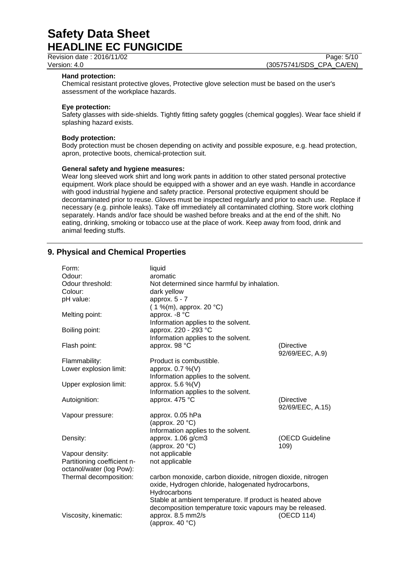Revision date : 2016/11/02 Page: 5/10

Version: 4.0 (30575741/SDS\_CPA\_CA/EN)

#### **Hand protection:**

Chemical resistant protective gloves, Protective glove selection must be based on the user's assessment of the workplace hazards.

#### **Eye protection:**

Safety glasses with side-shields. Tightly fitting safety goggles (chemical goggles). Wear face shield if splashing hazard exists.

#### **Body protection:**

Body protection must be chosen depending on activity and possible exposure, e.g. head protection, apron, protective boots, chemical-protection suit.

#### **General safety and hygiene measures:**

Wear long sleeved work shirt and long work pants in addition to other stated personal protective equipment. Work place should be equipped with a shower and an eye wash. Handle in accordance with good industrial hygiene and safety practice. Personal protective equipment should be decontaminated prior to reuse. Gloves must be inspected regularly and prior to each use. Replace if necessary (e.g. pinhole leaks). Take off immediately all contaminated clothing. Store work clothing separately. Hands and/or face should be washed before breaks and at the end of the shift. No eating, drinking, smoking or tobacco use at the place of work. Keep away from food, drink and animal feeding stuffs.

## **9. Physical and Chemical Properties**

| Form:                       | liquid                                                      |                  |
|-----------------------------|-------------------------------------------------------------|------------------|
| Odour:                      | aromatic                                                    |                  |
| Odour threshold:            | Not determined since harmful by inhalation.                 |                  |
| Colour:                     | dark yellow                                                 |                  |
| pH value:                   | approx. $5 - 7$                                             |                  |
|                             | $(1\%$ (m), approx. 20 °C)                                  |                  |
| Melting point:              | approx. -8 °C                                               |                  |
|                             | Information applies to the solvent.                         |                  |
| Boiling point:              | approx. 220 - 293 °C                                        |                  |
|                             | Information applies to the solvent.                         |                  |
| Flash point:                | approx. 98 °C                                               | (Directive       |
|                             |                                                             | 92/69/EEC, A.9)  |
| Flammability:               | Product is combustible.                                     |                  |
| Lower explosion limit:      | approx. 0.7 %(V)                                            |                  |
|                             | Information applies to the solvent.                         |                  |
| Upper explosion limit:      | approx. 5.6 %(V)                                            |                  |
|                             | Information applies to the solvent.                         |                  |
| Autoignition:               | approx. 475 °C                                              | (Directive       |
|                             |                                                             |                  |
|                             |                                                             | 92/69/EEC, A.15) |
| Vapour pressure:            | approx. 0.05 hPa                                            |                  |
|                             | (approx. 20 $°C$ )                                          |                  |
|                             | Information applies to the solvent.                         |                  |
| Density:                    | approx. 1.06 g/cm3                                          | (OECD Guideline  |
|                             | (approx. 20 $°C$ )                                          | 109)             |
| Vapour density:             | not applicable                                              |                  |
| Partitioning coefficient n- | not applicable                                              |                  |
| octanol/water (log Pow):    |                                                             |                  |
| Thermal decomposition:      | carbon monoxide, carbon dioxide, nitrogen dioxide, nitrogen |                  |
|                             | oxide, Hydrogen chloride, halogenated hydrocarbons,         |                  |
|                             | Hydrocarbons                                                |                  |
|                             | Stable at ambient temperature. If product is heated above   |                  |
|                             | decomposition temperature toxic vapours may be released.    |                  |
| Viscosity, kinematic:       | approx. 8.5 mm2/s                                           | (OECD 114)       |
|                             | (approx. 40 $°C$ )                                          |                  |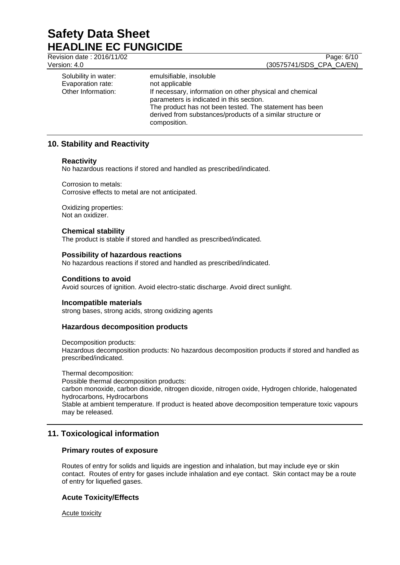Revision date : 2016/11/02 Page: 6/10

Version: 4.0 (30575741/SDS\_CPA\_CA/EN)

| Solubility in water:<br>Evaporation rate:<br>Other Information: | emulsifiable, insoluble<br>not applicable<br>If necessary, information on other physical and chemical<br>parameters is indicated in this section.<br>The product has not been tested. The statement has been<br>derived from substances/products of a similar structure or |
|-----------------------------------------------------------------|----------------------------------------------------------------------------------------------------------------------------------------------------------------------------------------------------------------------------------------------------------------------------|
|                                                                 | composition.                                                                                                                                                                                                                                                               |

## **10. Stability and Reactivity**

#### **Reactivity**

No hazardous reactions if stored and handled as prescribed/indicated.

Corrosion to metals: Corrosive effects to metal are not anticipated.

Oxidizing properties: Not an oxidizer.

#### **Chemical stability**

The product is stable if stored and handled as prescribed/indicated.

#### **Possibility of hazardous reactions**

No hazardous reactions if stored and handled as prescribed/indicated.

#### **Conditions to avoid**

Avoid sources of ignition. Avoid electro-static discharge. Avoid direct sunlight.

#### **Incompatible materials**

strong bases, strong acids, strong oxidizing agents

### **Hazardous decomposition products**

Decomposition products:

Hazardous decomposition products: No hazardous decomposition products if stored and handled as prescribed/indicated.

Thermal decomposition: Possible thermal decomposition products: carbon monoxide, carbon dioxide, nitrogen dioxide, nitrogen oxide, Hydrogen chloride, halogenated hydrocarbons, Hydrocarbons Stable at ambient temperature. If product is heated above decomposition temperature toxic vapours may be released.

## **11. Toxicological information**

### **Primary routes of exposure**

Routes of entry for solids and liquids are ingestion and inhalation, but may include eye or skin contact. Routes of entry for gases include inhalation and eye contact. Skin contact may be a route of entry for liquefied gases.

### **Acute Toxicity/Effects**

Acute toxicity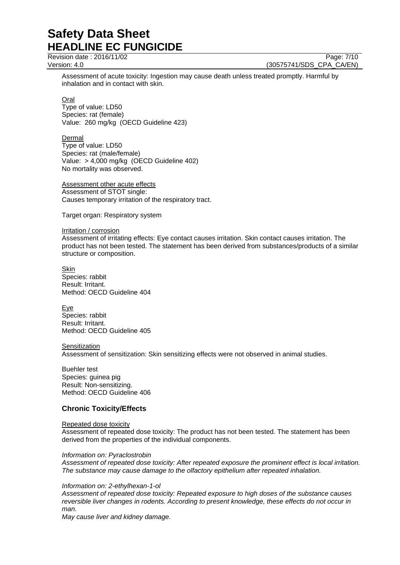Revision date : 2016/11/02 Page: 7/10

Version: 4.0 (30575741/SDS\_CPA\_CA/EN)

Assessment of acute toxicity: Ingestion may cause death unless treated promptly. Harmful by inhalation and in contact with skin.

Oral

Type of value: LD50 Species: rat (female) Value: 260 mg/kg (OECD Guideline 423)

Dermal

Type of value: LD50 Species: rat (male/female) Value: > 4,000 mg/kg (OECD Guideline 402) No mortality was observed.

Assessment other acute effects Assessment of STOT single: Causes temporary irritation of the respiratory tract.

Target organ: Respiratory system

#### Irritation / corrosion

Assessment of irritating effects: Eye contact causes irritation. Skin contact causes irritation. The product has not been tested. The statement has been derived from substances/products of a similar structure or composition.

Skin Species: rabbit Result: Irritant. Method: OECD Guideline 404

Eye Species: rabbit Result: Irritant. Method: OECD Guideline 405

**Sensitization** 

Assessment of sensitization: Skin sensitizing effects were not observed in animal studies.

Buehler test Species: guinea pig Result: Non-sensitizing. Method: OECD Guideline 406

## **Chronic Toxicity/Effects**

#### Repeated dose toxicity

Assessment of repeated dose toxicity: The product has not been tested. The statement has been derived from the properties of the individual components.

### *Information on: Pyraclostrobin*

*Assessment of repeated dose toxicity: After repeated exposure the prominent effect is local irritation. The substance may cause damage to the olfactory epithelium after repeated inhalation.*

### *Information on: 2-ethylhexan-1-ol*

*Assessment of repeated dose toxicity: Repeated exposure to high doses of the substance causes reversible liver changes in rodents. According to present knowledge, these effects do not occur in man.*

*May cause liver and kidney damage.*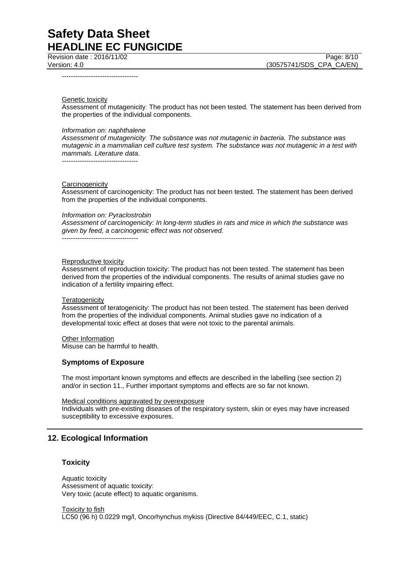Revision date : 2016/11/02 Page: 8/10

----------------------------------

Genetic toxicity

Assessment of mutagenicity: The product has not been tested. The statement has been derived from the properties of the individual components.

#### *Information on: naphthalene*

----------------------------------

*Assessment of mutagenicity: The substance was not mutagenic in bacteria. The substance was mutagenic in a mammalian cell culture test system. The substance was not mutagenic in a test with mammals. Literature data.*

**Carcinogenicity** 

Assessment of carcinogenicity: The product has not been tested. The statement has been derived from the properties of the individual components.

*Information on: Pyraclostrobin*

*Assessment of carcinogenicity: In long-term studies in rats and mice in which the substance was given by feed, a carcinogenic effect was not observed.*

----------------------------------

#### Reproductive toxicity

Assessment of reproduction toxicity: The product has not been tested. The statement has been derived from the properties of the individual components. The results of animal studies gave no indication of a fertility impairing effect.

#### **Teratogenicity**

Assessment of teratogenicity: The product has not been tested. The statement has been derived from the properties of the individual components. Animal studies gave no indication of a developmental toxic effect at doses that were not toxic to the parental animals.

Other Information

Misuse can be harmful to health.

#### **Symptoms of Exposure**

The most important known symptoms and effects are described in the labelling (see section 2) and/or in section 11., Further important symptoms and effects are so far not known.

Medical conditions aggravated by overexposure

Individuals with pre-existing diseases of the respiratory system, skin or eyes may have increased susceptibility to excessive exposures.

### **12. Ecological Information**

#### **Toxicity**

Aquatic toxicity Assessment of aquatic toxicity: Very toxic (acute effect) to aquatic organisms.

Toxicity to fish LC50 (96 h) 0.0229 mg/l, Oncorhynchus mykiss (Directive 84/449/EEC, C.1, static)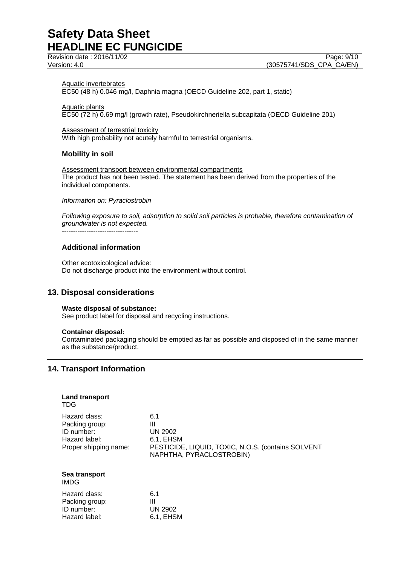Revision date : 2016/11/02 Page: 9/10

Version: 4.0 (30575741/SDS\_CPA\_CA/EN)

## Aquatic invertebrates

EC50 (48 h) 0.046 mg/l, Daphnia magna (OECD Guideline 202, part 1, static)

Aquatic plants EC50 (72 h) 0.69 mg/l (growth rate), Pseudokirchneriella subcapitata (OECD Guideline 201)

#### Assessment of terrestrial toxicity

With high probability not acutely harmful to terrestrial organisms.

#### **Mobility in soil**

Assessment transport between environmental compartments The product has not been tested. The statement has been derived from the properties of the individual components.

#### *Information on: Pyraclostrobin*

*Following exposure to soil, adsorption to solid soil particles is probable, therefore contamination of groundwater is not expected.*

----------------------------------

#### **Additional information**

Other ecotoxicological advice: Do not discharge product into the environment without control.

## **13. Disposal considerations**

#### **Waste disposal of substance:**

See product label for disposal and recycling instructions.

#### **Container disposal:**

Contaminated packaging should be emptied as far as possible and disposed of in the same manner as the substance/product.

## **14. Transport Information**

#### **Land transport** TDG

Hazard class: 6.1 Packing group: III<br>
ID number: UN 2902 ID number: Hazard label: 6.1, EHSM Proper shipping name: PESTICIDE, LIQUID, TOXIC, N.O.S. (contains SOLVENT NAPHTHA, PYRACLOSTROBIN)

#### **Sea transport** IMDG

| 6.1       |
|-----------|
| ш         |
| UN 2902   |
| 6.1, EHSM |
|           |